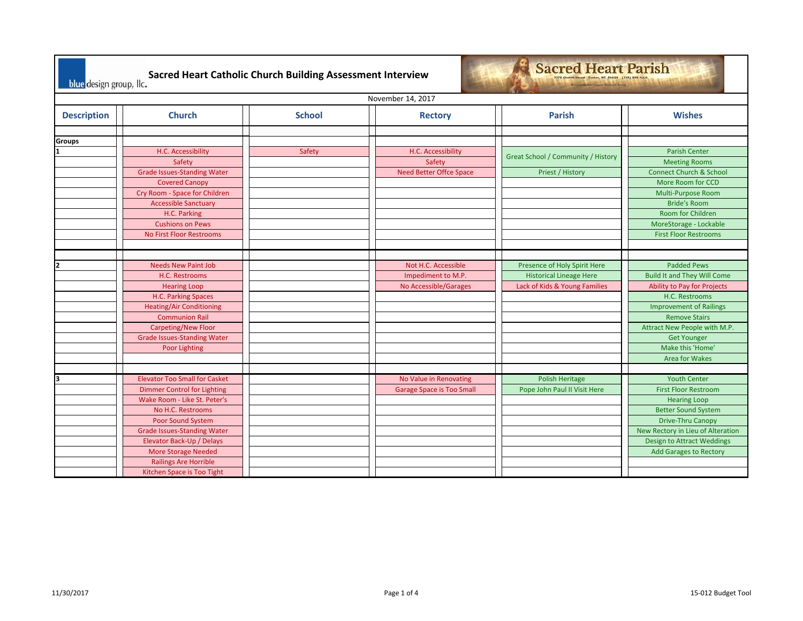| <b>Sacred Heart Parish</b><br><b>Sacred Heart Catholic Church Building Assessment Interview</b><br>7375 Church Street Custer, WI 54423 (715) 592-4221<br>blue design group, Ilc.<br>Bevormel Earlier Geograp Machand, Passer |                                                                                                                                                                                                                                                                                                              |               |                                                                    |                                                                                                 |                                                                                                                                                                                                                                                                        |
|------------------------------------------------------------------------------------------------------------------------------------------------------------------------------------------------------------------------------|--------------------------------------------------------------------------------------------------------------------------------------------------------------------------------------------------------------------------------------------------------------------------------------------------------------|---------------|--------------------------------------------------------------------|-------------------------------------------------------------------------------------------------|------------------------------------------------------------------------------------------------------------------------------------------------------------------------------------------------------------------------------------------------------------------------|
|                                                                                                                                                                                                                              |                                                                                                                                                                                                                                                                                                              |               | November 14, 2017                                                  |                                                                                                 |                                                                                                                                                                                                                                                                        |
| <b>Description</b>                                                                                                                                                                                                           | <b>Church</b>                                                                                                                                                                                                                                                                                                | <b>School</b> | <b>Rectory</b>                                                     | <b>Parish</b>                                                                                   | <b>Wishes</b>                                                                                                                                                                                                                                                          |
| <b>Groups</b>                                                                                                                                                                                                                |                                                                                                                                                                                                                                                                                                              |               |                                                                    |                                                                                                 |                                                                                                                                                                                                                                                                        |
|                                                                                                                                                                                                                              | H.C. Accessibility<br>Safety<br><b>Grade Issues-Standing Water</b><br><b>Covered Canopy</b><br>Cry Room - Space for Children                                                                                                                                                                                 | Safety        | H.C. Accessibility<br>Safety<br><b>Need Better Offce Space</b>     | <b>Great School / Community / History</b><br>Priest / History                                   | <b>Parish Center</b><br><b>Meeting Rooms</b><br><b>Connect Church &amp; School</b><br>More Room for CCD<br>Multi-Purpose Room                                                                                                                                          |
|                                                                                                                                                                                                                              | <b>Accessible Sanctuary</b><br>H.C. Parking<br><b>Cushions on Pews</b><br><b>No First Floor Restrooms</b>                                                                                                                                                                                                    |               |                                                                    |                                                                                                 | <b>Bride's Room</b><br><b>Room for Children</b><br>MoreStorage - Lockable<br><b>First Floor Restrooms</b>                                                                                                                                                              |
|                                                                                                                                                                                                                              |                                                                                                                                                                                                                                                                                                              |               |                                                                    |                                                                                                 |                                                                                                                                                                                                                                                                        |
|                                                                                                                                                                                                                              | <b>Needs New Paint Job</b><br>H.C. Restrooms<br><b>Hearing Loop</b><br>H.C. Parking Spaces<br><b>Heating/Air Conditioning</b><br><b>Communion Rail</b><br><b>Carpeting/New Floor</b><br><b>Grade Issues-Standing Water</b><br><b>Poor Lighting</b>                                                           |               | Not H.C. Accessible<br>Impediment to M.P.<br>No Accessible/Garages | Presence of Holy Spirit Here<br><b>Historical Lineage Here</b><br>Lack of Kids & Young Families | <b>Padded Pews</b><br><b>Build It and They Will Come</b><br>Ability to Pay for Projects<br>H.C. Restrooms<br><b>Improvement of Railings</b><br><b>Remove Stairs</b><br>Attract New People with M.P.<br><b>Get Younger</b><br>Make this 'Home'<br><b>Area for Wakes</b> |
|                                                                                                                                                                                                                              | <b>Elevator Too Small for Casket</b><br><b>Dimmer Control for Lighting</b><br>Wake Room - Like St. Peter's<br>No H.C. Restrooms<br>Poor Sound System<br><b>Grade Issues-Standing Water</b><br>Elevator Back-Up / Delays<br>More Storage Needed<br><b>Railings Are Horrible</b><br>Kitchen Space is Too Tight |               | No Value in Renovating<br><b>Garage Space is Too Small</b>         | Polish Heritage<br>Pope John Paul II Visit Here                                                 | <b>Youth Center</b><br><b>First Floor Restroom</b><br><b>Hearing Loop</b><br><b>Better Sound System</b><br>Drive-Thru Canopy<br>New Rectory in Lieu of Alteration<br><b>Design to Attract Weddings</b><br><b>Add Garages to Rectory</b>                                |

┑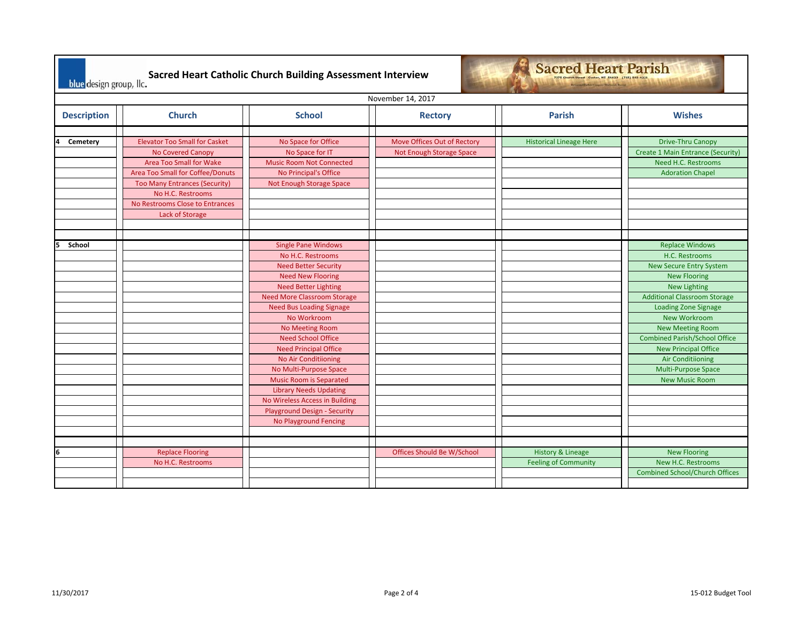| <b>Sacred Heart Parish</b><br>Sacred Heart Catholic Church Building Assessment Interview<br>blue design group, Ilc.<br><b>Bernstand Earlier Geograp Machand, Paster</b> |                                                                                                                                                                                                                                             |                                                                                                                                                                                                                                                                                                                                                                                                                            |                                                         |                                                             |                                                                                                                                                                                                                                                                                         |  |  |
|-------------------------------------------------------------------------------------------------------------------------------------------------------------------------|---------------------------------------------------------------------------------------------------------------------------------------------------------------------------------------------------------------------------------------------|----------------------------------------------------------------------------------------------------------------------------------------------------------------------------------------------------------------------------------------------------------------------------------------------------------------------------------------------------------------------------------------------------------------------------|---------------------------------------------------------|-------------------------------------------------------------|-----------------------------------------------------------------------------------------------------------------------------------------------------------------------------------------------------------------------------------------------------------------------------------------|--|--|
|                                                                                                                                                                         | November 14, 2017                                                                                                                                                                                                                           |                                                                                                                                                                                                                                                                                                                                                                                                                            |                                                         |                                                             |                                                                                                                                                                                                                                                                                         |  |  |
| <b>Description</b>                                                                                                                                                      | <b>Church</b>                                                                                                                                                                                                                               | <b>School</b>                                                                                                                                                                                                                                                                                                                                                                                                              | <b>Rectory</b>                                          | <b>Parish</b>                                               | <b>Wishes</b>                                                                                                                                                                                                                                                                           |  |  |
| Cemetery<br>School                                                                                                                                                      | <b>Elevator Too Small for Casket</b><br>No Covered Canopy<br>Area Too Small for Wake<br>Area Too Small for Coffee/Donuts<br><b>Too Many Entrances (Security)</b><br>No H.C. Restrooms<br>No Restrooms Close to Entrances<br>Lack of Storage | No Space for Office<br>No Space for IT<br><b>Music Room Not Connected</b><br>No Principal's Office<br>Not Enough Storage Space<br><b>Single Pane Windows</b><br>No H.C. Restrooms<br><b>Need Better Security</b><br><b>Need New Flooring</b>                                                                                                                                                                               | Move Offices Out of Rectory<br>Not Enough Storage Space | <b>Historical Lineage Here</b>                              | <b>Drive-Thru Canopy</b><br>Create 1 Main Entrance (Security)<br>Need H.C. Restrooms<br><b>Adoration Chapel</b><br><b>Replace Windows</b><br>H.C. Restrooms<br><b>New Secure Entry System</b><br><b>New Flooring</b>                                                                    |  |  |
|                                                                                                                                                                         |                                                                                                                                                                                                                                             | <b>Need Better Lighting</b><br><b>Need More Classroom Storage</b><br><b>Need Bus Loading Signage</b><br>No Workroom<br>No Meeting Room<br><b>Need School Office</b><br><b>Need Principal Office</b><br><b>No Air Conditiioning</b><br>No Multi-Purpose Space<br><b>Music Room is Separated</b><br><b>Library Needs Updating</b><br>No Wireless Access in Building<br>Playground Design - Security<br>No Playground Fencing |                                                         |                                                             | <b>New Lighting</b><br><b>Additional Classroom Storage</b><br><b>Loading Zone Signage</b><br>New Workroom<br><b>New Meeting Room</b><br><b>Combined Parish/School Office</b><br><b>New Principal Office</b><br><b>Air Conditiioning</b><br>Multi-Purpose Space<br><b>New Music Room</b> |  |  |
| 6                                                                                                                                                                       | <b>Replace Flooring</b><br>No H.C. Restrooms                                                                                                                                                                                                |                                                                                                                                                                                                                                                                                                                                                                                                                            | Offices Should Be W/School                              | <b>History &amp; Lineage</b><br><b>Feeling of Community</b> | <b>New Flooring</b><br>New H.C. Restrooms<br><b>Combined School/Church Offices</b>                                                                                                                                                                                                      |  |  |

**Section** 

 $\mathbf{r}$ 

÷

┑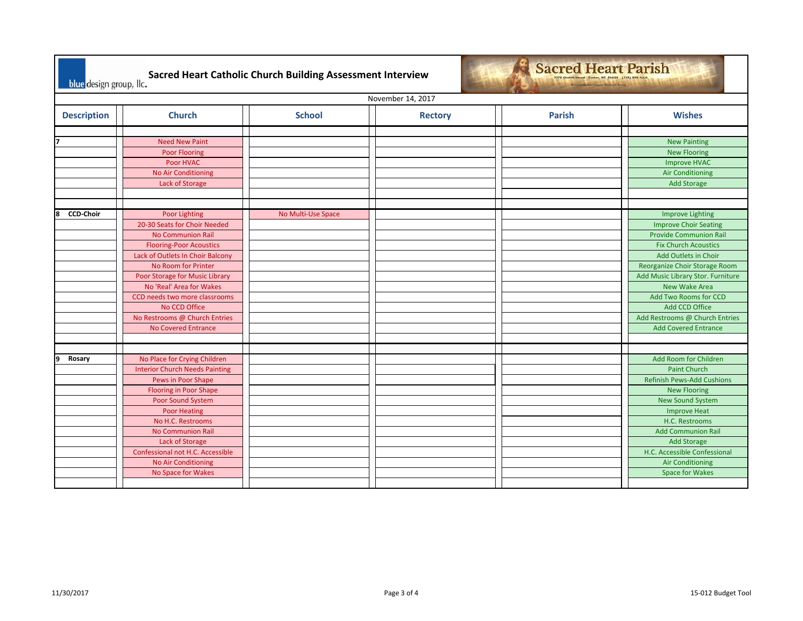| <b>Sacred Heart Parish</b><br>Sacred Heart Catholic Church Building Assessment Interview<br>7375 Church Street Custer, WI 54423 (715) 592-4221<br>blue design group, Ilc.<br>Trend Ester Gregory Mathemt, Partner |                                                                                                                                                                                                                                                                                                                                                              |                    |                |               |                                                                                                                                                                                                                                                                                                                                                           |  |  |
|-------------------------------------------------------------------------------------------------------------------------------------------------------------------------------------------------------------------|--------------------------------------------------------------------------------------------------------------------------------------------------------------------------------------------------------------------------------------------------------------------------------------------------------------------------------------------------------------|--------------------|----------------|---------------|-----------------------------------------------------------------------------------------------------------------------------------------------------------------------------------------------------------------------------------------------------------------------------------------------------------------------------------------------------------|--|--|
|                                                                                                                                                                                                                   | November 14, 2017                                                                                                                                                                                                                                                                                                                                            |                    |                |               |                                                                                                                                                                                                                                                                                                                                                           |  |  |
| <b>Description</b>                                                                                                                                                                                                | <b>Church</b>                                                                                                                                                                                                                                                                                                                                                | <b>School</b>      | <b>Rectory</b> | <b>Parish</b> | <b>Wishes</b>                                                                                                                                                                                                                                                                                                                                             |  |  |
|                                                                                                                                                                                                                   | <b>Need New Paint</b><br><b>Poor Flooring</b><br>Poor HVAC<br><b>No Air Conditioning</b><br>Lack of Storage                                                                                                                                                                                                                                                  |                    |                |               | <b>New Painting</b><br><b>New Flooring</b><br><b>Improve HVAC</b><br><b>Air Conditioning</b><br><b>Add Storage</b>                                                                                                                                                                                                                                        |  |  |
| <b>CCD-Choir</b><br>l8                                                                                                                                                                                            | <b>Poor Lighting</b><br>20-30 Seats for Choir Needed<br><b>No Communion Rail</b><br><b>Flooring-Poor Acoustics</b><br>Lack of Outlets In Choir Balcony<br>No Room for Printer<br>Poor Storage for Music Library<br>No 'Real' Area for Wakes<br>CCD needs two more classrooms<br>No CCD Office<br>No Restrooms @ Church Entries<br><b>No Covered Entrance</b> | No Multi-Use Space |                |               | <b>Improve Lighting</b><br><b>Improve Choir Seating</b><br><b>Provide Communion Rail</b><br><b>Fix Church Acoustics</b><br>Add Outlets in Choir<br>Reorganize Choir Storage Room<br>Add Music Library Stor. Furniture<br><b>New Wake Area</b><br>Add Two Rooms for CCD<br>Add CCD Office<br>Add Restrooms @ Church Entries<br><b>Add Covered Entrance</b> |  |  |
| q<br>Rosary                                                                                                                                                                                                       | No Place for Crying Children<br><b>Interior Church Needs Painting</b><br>Pews in Poor Shape<br><b>Flooring in Poor Shape</b><br>Poor Sound System<br><b>Poor Heating</b><br>No H.C. Restrooms<br><b>No Communion Rail</b><br>Lack of Storage<br>Confessional not H.C. Accessible<br><b>No Air Conditioning</b><br>No Space for Wakes                         |                    |                |               | Add Room for Children<br><b>Paint Church</b><br><b>Refinish Pews-Add Cushions</b><br><b>New Flooring</b><br><b>New Sound System</b><br><b>Improve Heat</b><br>H.C. Restrooms<br><b>Add Communion Rail</b><br><b>Add Storage</b><br>H.C. Accessible Confessional<br><b>Air Conditioning</b><br><b>Space for Wakes</b>                                      |  |  |